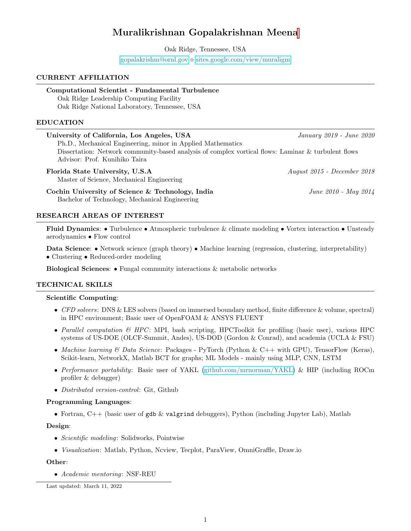# Muralikrishnan Gopalakrishnan Meen[a](#page-0-0)

Oak Ridge, Tennessee, USA

 $gopalakrishm@ornl.gov \diamond sites.google.com/view/muraligm$  $gopalakrishm@ornl.gov \diamond sites.google.com/view/muraligm$  $gopalakrishm@ornl.gov \diamond sites.google.com/view/muraligm$ 

## CURRENT AFFILIATION

## Computational Scientist - Fundamental Turbulence

Oak Ridge Leadership Computing Facility Oak Ridge National Laboratory, Tennessee, USA

# EDUCATION

| University of California, Los Angeles, USA                                                          | January 2019 - June 2020 |
|-----------------------------------------------------------------------------------------------------|--------------------------|
| Ph.D., Mechanical Engineering, minor in Applied Mathematics                                         |                          |
| Dissertation: Network community-based analysis of complex vortical flows: Laminar & turbulent flows |                          |
| Advisor: Prof. Kunihiko Taira                                                                       |                          |
|                                                                                                     |                          |

Florida State University, U.S.A August 2015 - December 2018

Master of Science, Mechanical Engineering

Cochin University of Science & Technology, India  $June\ 2010 - May\ 2014$ Bachelor of Technology, Mechanical Engineering

## RESEARCH AREAS OF INTEREST

Fluid Dynamics: • Turbulence • Atmospheric turbulence & climate modeling • Vortex interaction • Unsteady aerodynamics • Flow control

Data Science: • Network science (graph theory) • Machine learning (regression, clustering, interpretability) • Clustering • Reduced-order modeling

Biological Sciences: • Fungal community interactions & metabolic networks

## TECHNICAL SKILLS

### Scientific Computing:

- CFD solvers: DNS & LES solvers (based on immersed boundary method, finite difference & volume, spectral) in HPC environment; Basic user of OpenFOAM & ANSYS FLUENT
- Parallel computation  $\mathcal{B}$  HPC: MPI, bash scripting, HPCToolkit for profiling (basic user), various HPC systems of US-DOE (OLCF-Summit, Andes), US-DOD (Gordon & Conrad), and academia (UCLA & FSU)
- Machine learning  $\&$  Data Science: Packages PyTorch (Python  $\&$  C++ with GPU), TensorFlow (Keras), Scikit-learn, NetworkX, Matlab BCT for graphs; ML Models - mainly using MLP, CNN, LSTM
- Performance portability: Basic user of YAKL [\(github.com/mrnorman/YAKL\)](https://github.com/mrnorman/YAKL) & HIP (including ROCm profiler & debugger)
- Distributed version-control: Git, Github

## Programming Languages:

• Fortran,  $C++$  (basic user of gdb & valgrind debuggers), Python (including Jupyter Lab), Matlab

## Design:

- Scientific modeling: Solidworks, Pointwise
- Visualization: Matlab, Python, Ncview, Tecplot, ParaView, OmniGraffle, Draw.io

## Other:

• Academic mentoring: NSF-REU

<span id="page-0-0"></span>Last updated: March 11, 2022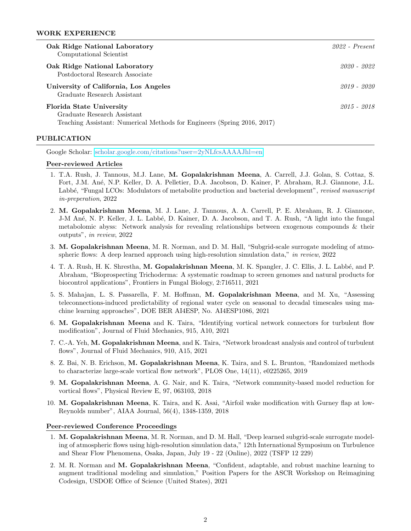#### WORK EXPERIENCE

| Oak Ridge National Laboratory<br>Computational Scientist                                                                           | $2022$ - Present |
|------------------------------------------------------------------------------------------------------------------------------------|------------------|
| Oak Ridge National Laboratory<br>Postdoctoral Research Associate                                                                   | 2020 - 2022      |
| University of California, Los Angeles<br>Graduate Research Assistant                                                               | $2019 - 2020$    |
| Florida State University<br>Graduate Research Assistant<br>Teaching Assistant: Numerical Methods for Engineers (Spring 2016, 2017) | 2015 - 2018      |

#### PUBLICATION

Google Scholar: [scholar.google.com/citations?user=2yNLfcsAAAAJhl=en](https://scholar.google.com/citations?user=2yNLfcsAAAAJ&hl=en)

#### Peer-reviewed Articles

- 1. T.A. Rush, J. Tannous, M.J. Lane, M. Gopalakrishnan Meena, A. Carrell, J.J. Golan, S. Cottaz, S. Fort, J.M. An´e, N.P. Keller, D. A. Pelletier, D.A. Jacobson, D. Kainer, P. Abraham, R.J. Giannone, J.L. Labbé, "Fungal LCOs: Modulators of metabolite production and bacterial development", revised manuscript in-preperation, 2022
- 2. M. Gopalakrishnan Meena, M. J. Lane, J. Tannous, A. A. Carrell, P. E. Abraham, R. J. Giannone, J-M An´e, N. P. Keller, J. L. Labb´e, D. Kainer, D. A. Jacobson, and T. A. Rush, "A light into the fungal metabolomic abyss: Network analysis for revealing relationships between exogenous compounds & their outputs", in review, 2022
- 3. M. Gopalakrishnan Meena, M. R. Norman, and D. M. Hall, "Subgrid-scale surrogate modeling of atmospheric flows: A deep learned approach using high-resolution simulation data," in review, 2022
- 4. T. A. Rush, H. K. Shrestha, M. Gopalakrishnan Meena, M. K. Spangler, J. C. Ellis, J. L. Labbé, and P. Abraham, "Bioprospecting Trichoderma: A systematic roadmap to screen genomes and natural products for biocontrol applications", Frontiers in Fungal Biology, 2:716511, 2021
- 5. S. Mahajan, L. S. Passarella, F. M. Hoffman, M. Gopalakrishnan Meena, and M. Xu, "Assessing teleconnections-induced predictability of regional water cycle on seasonal to decadal timescales using machine learning approaches", DOE BER AI4ESP, No. AI4ESP1086, 2021
- 6. M. Gopalakrishnan Meena and K. Taira, "Identifying vortical network connectors for turbulent flow modification", Journal of Fluid Mechanics, 915, A10, 2021
- 7. C.-A. Yeh, M. Gopalakrishnan Meena, and K. Taira, "Network broadcast analysis and control of turbulent flows", Journal of Fluid Mechanics, 910, A15, 2021
- 8. Z. Bai, N. B. Erichson, M. Gopalakrishnan Meena, K. Taira, and S. L. Brunton, "Randomized methods to characterize large-scale vortical flow network", PLOS One, 14(11), e0225265, 2019
- 9. M. Gopalakrishnan Meena, A. G. Nair, and K. Taira, "Network community-based model reduction for vortical flows", Physical Review E, 97, 063103, 2018
- 10. M. Gopalakrishnan Meena, K. Taira, and K. Asai, "Airfoil wake modification with Gurney flap at low-Reynolds number", AIAA Journal, 56(4), 1348-1359, 2018

#### Peer-reviewed Conference Proceedings

- 1. M. Gopalakrishnan Meena, M. R. Norman, and D. M. Hall, "Deep learned subgrid-scale surrogate modeling of atmospheric flows using high-resolution simulation data," 12th International Symposium on Turbulence and Shear Flow Phenomena, Osaka, Japan, July 19 - 22 (Online), 2022 (TSFP 12 229)
- 2. M. R. Norman and M. Gopalakrishnan Meena, "Confident, adaptable, and robust machine learning to augment traditional modeling and simulation," Position Papers for the ASCR Workshop on Reimagining Codesign, USDOE Office of Science (United States), 2021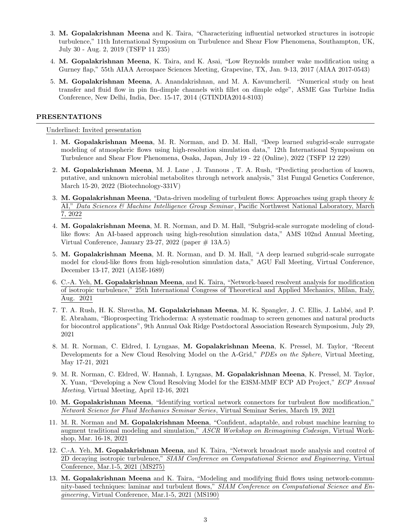- 3. M. Gopalakrishnan Meena and K. Taira, "Characterizing influential networked structures in isotropic turbulence," 11th International Symposium on Turbulence and Shear Flow Phenomena, Southampton, UK, July 30 - Aug. 2, 2019 (TSFP 11 235)
- 4. M. Gopalakrishnan Meena, K. Taira, and K. Asai, "Low Reynolds number wake modification using a Gurney flap," 55th AIAA Aerospace Sciences Meeting, Grapevine, TX, Jan. 9-13, 2017 (AIAA 2017-0543)
- 5. M. Gopalakrishnan Meena, A. Anandakrishnan, and M. A. Kavumcheril. "Numerical study on heat transfer and fluid flow in pin fin-dimple channels with fillet on dimple edge", ASME Gas Turbine India Conference, New Delhi, India, Dec. 15-17, 2014 (GTINDIA2014-8103)

## PRESENTATIONS

Underlined: Invited presentation

- 1. M. Gopalakrishnan Meena, M. R. Norman, and D. M. Hall, "Deep learned subgrid-scale surrogate modeling of atmospheric flows using high-resolution simulation data," 12th International Symposium on Turbulence and Shear Flow Phenomena, Osaka, Japan, July 19 - 22 (Online), 2022 (TSFP 12 229)
- 2. M. Gopalakrishnan Meena, M. J. Lane , J. Tannous , T. A. Rush, "Predicting production of known, putative, and unknown microbial metabolites through network analysis," 31st Fungal Genetics Conference, March 15-20, 2022 (Biotechnology-331V)
- 3. M. Gopalakrishnan Meena, "Data-driven modeling of turbulent flows: Approaches using graph theory & AI," Data Sciences & Machine Intelligence Group Seminar, Pacific Northwest National Laboratory, March 7, 2022
- 4. M. Gopalakrishnan Meena, M. R. Norman, and D. M. Hall, "Subgrid-scale surrogate modeling of cloudlike flows: An AI-based approach using high-resolution simulation data," AMS 102nd Annual Meeting, Virtual Conference, January 23-27, 2022 (paper  $\#$  13A.5)
- 5. M. Gopalakrishnan Meena, M. R. Norman, and D. M. Hall, "A deep learned subgrid-scale surrogate model for cloud-like flows from high-resolution simulation data," AGU Fall Meeting, Virtual Conference, December 13-17, 2021 (A15E-1689)
- 6. C.-A. Yeh, M. Gopalakrishnan Meena, and K. Taira, "Network-based resolvent analysis for modification of isotropic turbulence," 25th International Congress of Theoretical and Applied Mechanics, Milan, Italy, Aug. 2021
- 7. T. A. Rush, H. K. Shrestha, M. Gopalakrishnan Meena, M. K. Spangler, J. C. Ellis, J. Labb´e, and P. E. Abraham, "Bioprospecting Trichoderma: A systematic roadmap to screen genomes and natural products for biocontrol applications", 9th Annual Oak Ridge Postdoctoral Association Research Symposium, July 29, 2021
- 8. M. R. Norman, C. Eldred, I. Lyngaas, M. Gopalakrishnan Meena, K. Pressel, M. Taylor, "Recent Developments for a New Cloud Resolving Model on the A-Grid," *PDEs on the Sphere*, Virtual Meeting, May 17-21, 2021
- 9. M. R. Norman, C. Eldred, W. Hannah, I. Lyngaas, M. Gopalakrishnan Meena, K. Pressel, M. Taylor, X. Yuan, "Developing a New Cloud Resolving Model for the E3SM-MMF ECP AD Project," ECP Annual Meeting, Virtual Meeting, April 12-16, 2021
- 10. M. Gopalakrishnan Meena, "Identifying vortical network connectors for turbulent flow modification," Network Science for Fluid Mechanics Seminar Series, Virtual Seminar Series, March 19, 2021
- 11. M. R. Norman and M. Gopalakrishnan Meena, "Confident, adaptable, and robust machine learning to augment traditional modeling and simulation," ASCR Workshop on Reimagining Codesign, Virtual Workshop, Mar. 16-18, 2021
- 12. C.-A. Yeh, M. Gopalakrishnan Meena, and K. Taira, "Network broadcast mode analysis and control of 2D decaying isotropic turbulence," SIAM Conference on Computational Science and Engineering, Virtual Conference, Mar.1-5, 2021 (MS275)
- 13. M. Gopalakrishnan Meena and K. Taira, "Modeling and modifying fluid flows using network-community-based techniques: laminar and turbulent flows," SIAM Conference on Computational Science and Engineering, Virtual Conference, Mar.1-5, 2021 (MS190)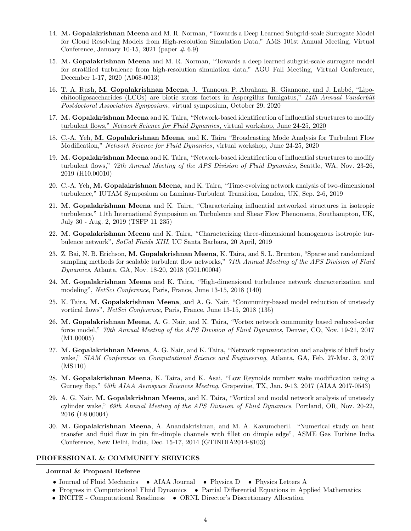- 14. M. Gopalakrishnan Meena and M. R. Norman, "Towards a Deep Learned Subgrid-scale Surrogate Model for Cloud Resolving Models from High-resolution Simulation Data," AMS 101st Annual Meeting, Virtual Conference, January 10-15, 2021 (paper  $\#$  6.9)
- 15. M. Gopalakrishnan Meena and M. R. Norman, "Towards a deep learned subgrid-scale surrogate model for stratified turbulence from high-resolution simulation data," AGU Fall Meeting, Virtual Conference, December 1-17, 2020 (A068-0013)
- 16. T. A. Rush, M. Gopalakrishnan Meena, J. Tannous, P. Abraham, R. Giannone, and J. Labbé, "Lipochitooligosaccharides (LCOs) are biotic stress factors in Aspergillus fumigatus," 14th Annual Vanderbilt Postdoctoral Association Symposium, virtual symposium, October 29, 2020
- 17. M. Gopalakrishnan Meena and K. Taira, "Network-based identification of influential structures to modify turbulent flows," Network Science for Fluid Dynamics, virtual workshop, June 24-25, 2020
- 18. C.-A. Yeh, M. Gopalakrishnan Meena, and K. Taira "Broadcasting Mode Analysis for Turbulent Flow Modification," Network Science for Fluid Dynamics, virtual workshop, June 24-25, 2020
- 19. M. Gopalakrishnan Meena and K. Taira, "Network-based identification of influential structures to modify turbulent flows," 72th Annual Meeting of the APS Division of Fluid Dynamics, Seattle, WA, Nov. 23-26, 2019 (H10.00010)
- 20. C.-A. Yeh, M. Gopalakrishnan Meena, and K. Taira, "Time-evolving network analysis of two-dimensional turbulence," IUTAM Symposium on Laminar-Turbulent Transition, London, UK, Sep. 2-6, 2019
- 21. M. Gopalakrishnan Meena and K. Taira, "Characterizing influential networked structures in isotropic turbulence," 11th International Symposium on Turbulence and Shear Flow Phenomena, Southampton, UK, July 30 - Aug. 2, 2019 (TSFP 11 235)
- 22. M. Gopalakrishnan Meena and K. Taira, "Characterizing three-dimensional homogenous isotropic turbulence network", SoCal Fluids XIII, UC Santa Barbara, 20 April, 2019
- 23. Z. Bai, N. B. Erichson, M. Gopalakrishnan Meena, K. Taira, and S. L. Brunton, "Sparse and randomized sampling methods for scalable turbulent flow networks," 71th Annual Meeting of the APS Division of Fluid Dynamics, Atlanta, GA, Nov. 18-20, 2018 (G01.00004)
- 24. M. Gopalakrishnan Meena and K. Taira, "High-dimensional turbulence network characterization and modeling", NetSci Conference, Paris, France, June 13-15, 2018 (140)
- 25. K. Taira, M. Gopalakrishnan Meena, and A. G. Nair, "Community-based model reduction of unsteady vortical flows", NetSci Conference, Paris, France, June 13-15, 2018 (135)
- 26. M. Gopalakrishnan Meena, A. G. Nair, and K. Taira, "Vortex network community based reduced-order force model," 70th Annual Meeting of the APS Division of Fluid Dynamics, Denver, CO, Nov. 19-21, 2017 (M1.00005)
- 27. M. Gopalakrishnan Meena, A. G. Nair, and K. Taira, "Network representation and analysis of bluff body wake," SIAM Conference on Computational Science and Engineering, Atlanta, GA, Feb. 27-Mar. 3, 2017 (MS110)
- 28. M. Gopalakrishnan Meena, K. Taira, and K. Asai, "Low Reynolds number wake modification using a Gurney flap," 55th AIAA Aerospace Sciences Meeting, Grapevine, TX, Jan. 9-13, 2017 (AIAA 2017-0543)
- 29. A. G. Nair, M. Gopalakrishnan Meena, and K. Taira, "Vortical and modal network analysis of unsteady cylinder wake," 69th Annual Meeting of the APS Division of Fluid Dynamics, Portland, OR, Nov. 20-22, 2016 (E8.00004)
- 30. M. Gopalakrishnan Meena, A. Anandakrishnan, and M. A. Kavumcheril. "Numerical study on heat transfer and fluid flow in pin fin-dimple channels with fillet on dimple edge", ASME Gas Turbine India Conference, New Delhi, India, Dec. 15-17, 2014 (GTINDIA2014-8103)

### PROFESSIONAL & COMMUNITY SERVICES

### Journal & Proposal Referee

- Journal of Fluid Mechanics AIAA Journal Physica D Physics Letters A
- Progress in Computational Fluid Dynamics Partial Differential Equations in Applied Mathematics
- INCITE Computational Readiness ORNL Director's Discretionary Allocation